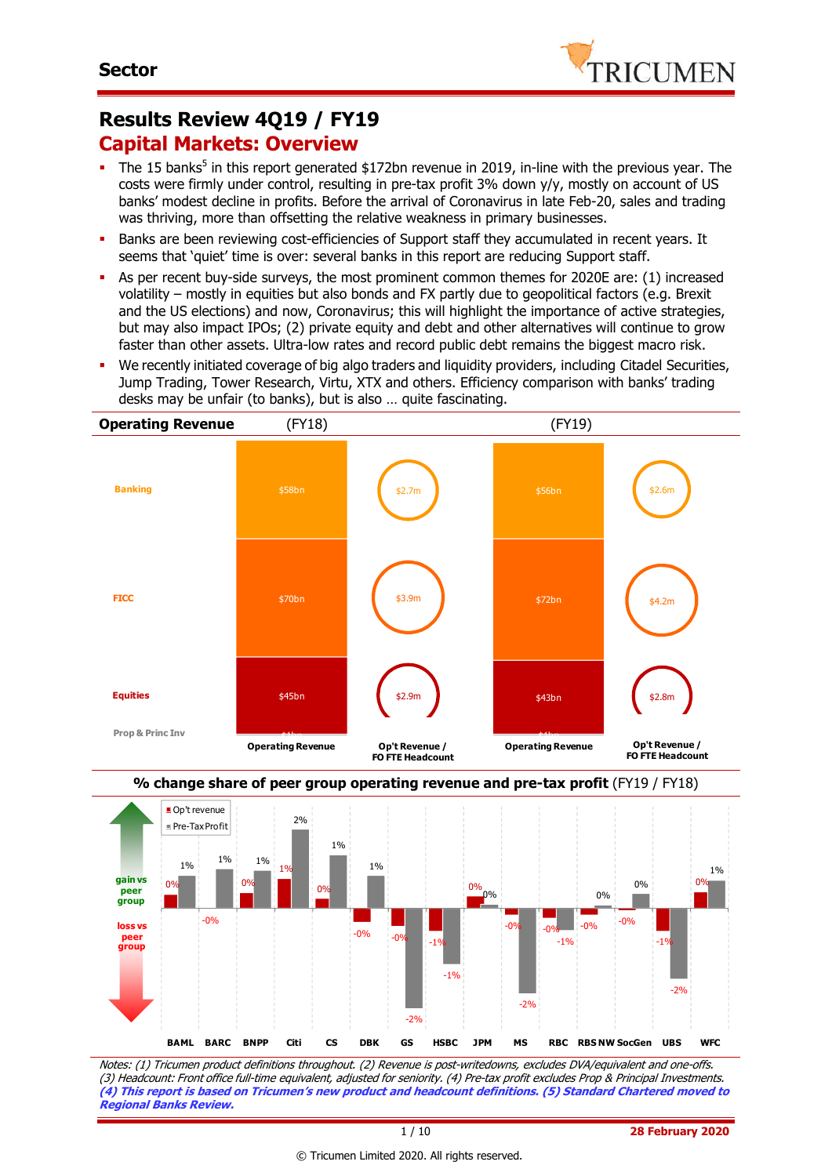

# **Results Review 4Q19 / FY19 Capital Markets: Overview**

- The 15 banks<sup>5</sup> in this report generated \$172bn revenue in 2019, in-line with the previous year. The costs were firmly under control, resulting in pre-tax profit 3% down y/y, mostly on account of US banks' modest decline in profits. Before the arrival of Coronavirus in late Feb-20, sales and trading was thriving, more than offsetting the relative weakness in primary businesses.
- Banks are been reviewing cost-efficiencies of Support staff they accumulated in recent years. It seems that 'quiet' time is over: several banks in this report are reducing Support staff.
- As per recent buy-side surveys, the most prominent common themes for 2020E are: (1) increased volatility – mostly in equities but also bonds and FX partly due to geopolitical factors (e.g. Brexit and the US elections) and now, Coronavirus; this will highlight the importance of active strategies, but may also impact IPOs; (2) private equity and debt and other alternatives will continue to grow faster than other assets. Ultra-low rates and record public debt remains the biggest macro risk.
- We recently initiated coverage of big algo traders and liquidity providers, including Citadel Securities, Jump Trading, Tower Research, Virtu, XTX and others. Efficiency comparison with banks' trading desks may be unfair (to banks), but is also … quite fascinating.





Notes: (1) Tricumen product definitions throughout. (2) Revenue is post-writedowns, excludes DVA/equivalent and one-offs. (3) Headcount: Front office full-time equivalent, adjusted for seniority. (4) Pre-tax profit excludes Prop & Principal Investments. **(4) This report is based on Tricumen's new product and headcount definitions. (5) Standard Chartered moved to Regional Banks Review.**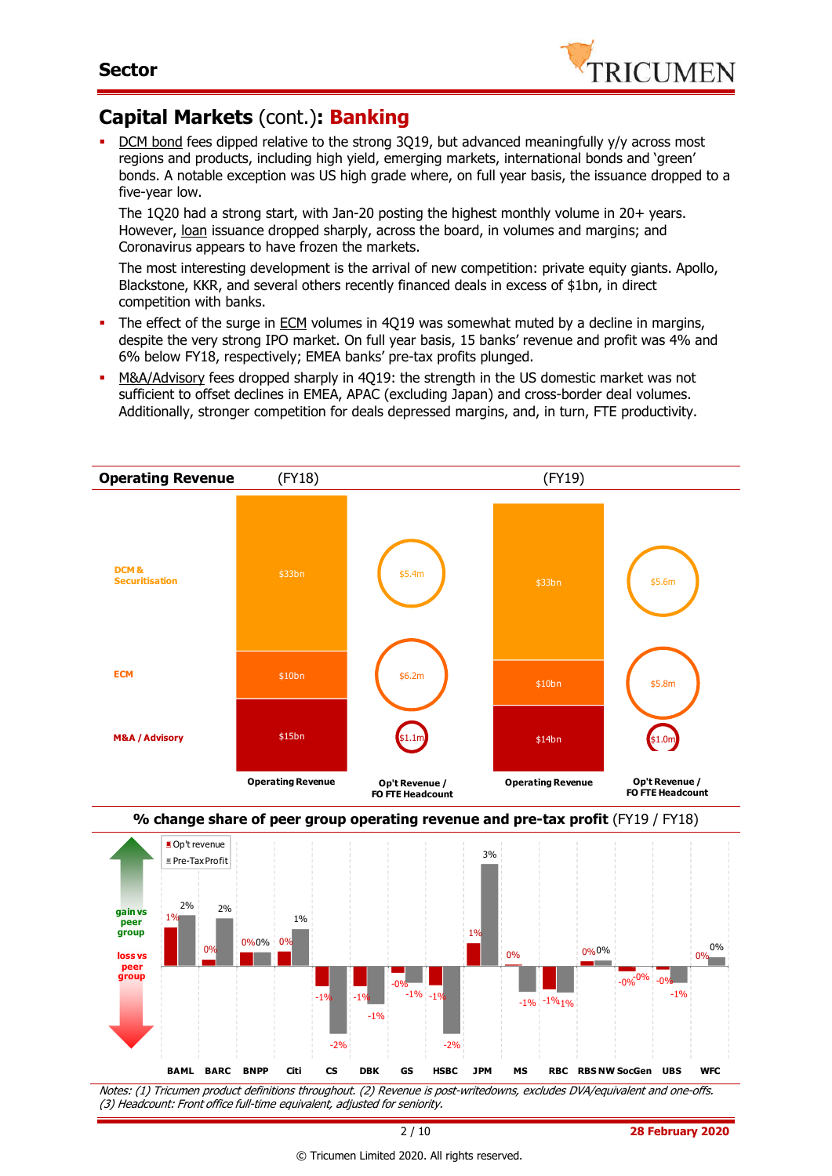

# **Capital Markets** (cont.)**: Banking**

DCM bond fees dipped relative to the strong 3Q19, but advanced meaningfully y/y across most regions and products, including high yield, emerging markets, international bonds and 'green' bonds. A notable exception was US high grade where, on full year basis, the issuance dropped to a five-year low.

The 1Q20 had a strong start, with Jan-20 posting the highest monthly volume in 20+ years. However, loan issuance dropped sharply, across the board, in volumes and margins; and Coronavirus appears to have frozen the markets.

The most interesting development is the arrival of new competition: private equity giants. Apollo, Blackstone, KKR, and several others recently financed deals in excess of \$1bn, in direct competition with banks.

- The effect of the surge in ECM volumes in 4Q19 was somewhat muted by a decline in margins, despite the very strong IPO market. On full year basis, 15 banks' revenue and profit was 4% and 6% below FY18, respectively; EMEA banks' pre-tax profits plunged.
- M&A/Advisory fees dropped sharply in 4Q19: the strength in the US domestic market was not sufficient to offset declines in EMEA, APAC (excluding Japan) and cross-border deal volumes. Additionally, stronger competition for deals depressed margins, and, in turn, FTE productivity.



Notes: (1) Tricumen product definitions throughout. (2) Revenue is post-writedowns, excludes DVA/equivalent and one-offs. (3) Headcount: Front office full-time equivalent, adjusted for seniority.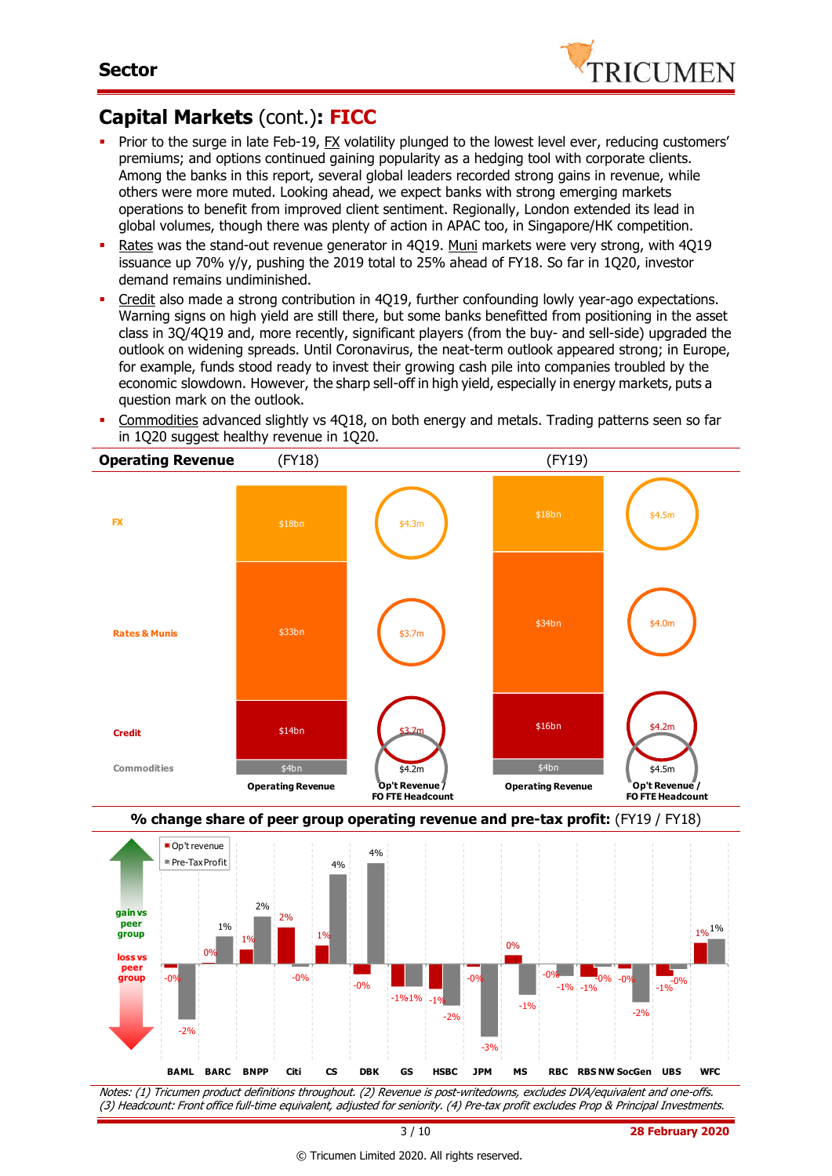

# **Capital Markets** (cont.)**: FICC**

- Prior to the surge in late Feb-19, FX volatility plunged to the lowest level ever, reducing customers' premiums; and options continued gaining popularity as a hedging tool with corporate clients. Among the banks in this report, several global leaders recorded strong gains in revenue, while others were more muted. Looking ahead, we expect banks with strong emerging markets operations to benefit from improved client sentiment. Regionally, London extended its lead in global volumes, though there was plenty of action in APAC too, in Singapore/HK competition.
- Rates was the stand-out revenue generator in 4Q19. Muni markets were very strong, with 4Q19 issuance up 70% y/y, pushing the 2019 total to 25% ahead of FY18. So far in 1Q20, investor demand remains undiminished.
- Credit also made a strong contribution in 4Q19, further confounding lowly year-ago expectations. Warning signs on high yield are still there, but some banks benefitted from positioning in the asset class in 3Q/4Q19 and, more recently, significant players (from the buy- and sell-side) upgraded the outlook on widening spreads. Until Coronavirus, the neat-term outlook appeared strong; in Europe, for example, funds stood ready to invest their growing cash pile into companies troubled by the economic slowdown. However, the sharp sell-off in high yield, especially in energy markets, puts a question mark on the outlook.
- Commodities advanced slightly vs 4Q18, on both energy and metals. Trading patterns seen so far in 1Q20 suggest healthy revenue in 1Q20.





Notes: (1) Tricumen product definitions throughout. (2) Revenue is post-writedowns, excludes DVA/equivalent and one-offs. (3) Headcount: Front office full-time equivalent, adjusted for seniority. (4) Pre-tax profit excludes Prop & Principal Investments.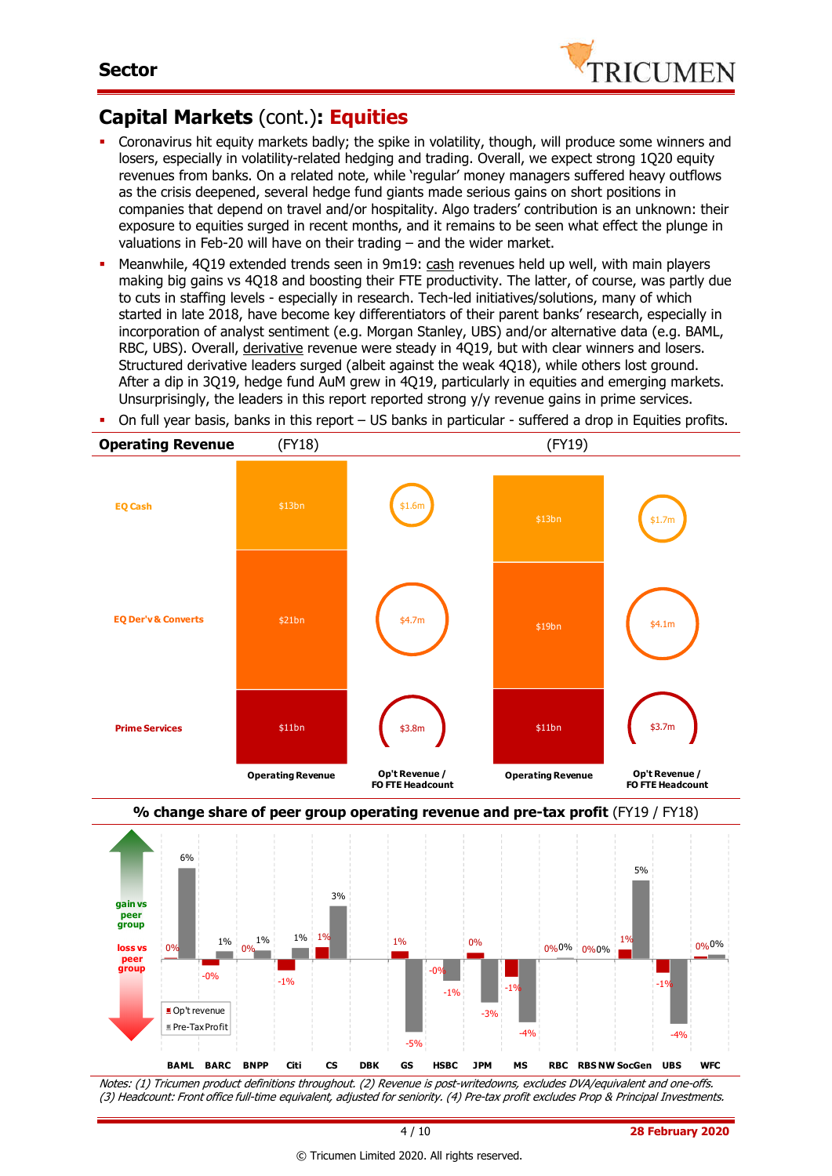

# **Capital Markets** (cont.)**: Equities**

- Coronavirus hit equity markets badly; the spike in volatility, though, will produce some winners and losers, especially in volatility-related hedging and trading. Overall, we expect strong 1Q20 equity revenues from banks. On a related note, while 'regular' money managers suffered heavy outflows as the crisis deepened, several hedge fund giants made serious gains on short positions in companies that depend on travel and/or hospitality. Algo traders' contribution is an unknown: their exposure to equities surged in recent months, and it remains to be seen what effect the plunge in valuations in Feb-20 will have on their trading – and the wider market.
- Meanwhile, 4Q19 extended trends seen in 9m19: cash revenues held up well, with main players making big gains vs 4Q18 and boosting their FTE productivity. The latter, of course, was partly due to cuts in staffing levels - especially in research. Tech-led initiatives/solutions, many of which started in late 2018, have become key differentiators of their parent banks' research, especially in incorporation of analyst sentiment (e.g. Morgan Stanley, UBS) and/or alternative data (e.g. BAML, RBC, UBS). Overall, derivative revenue were steady in 4Q19, but with clear winners and losers. Structured derivative leaders surged (albeit against the weak 4Q18), while others lost ground. After a dip in 3Q19, hedge fund AuM grew in 4Q19, particularly in equities and emerging markets. Unsurprisingly, the leaders in this report reported strong y/y revenue gains in prime services.
- On full year basis, banks in this report US banks in particular suffered a drop in Equities profits.





Notes: (1) Tricumen product definitions throughout. (2) Revenue is post-writedowns, excludes DVA/equivalent and one-offs. (3) Headcount: Front office full-time equivalent, adjusted for seniority. (4) Pre-tax profit excludes Prop & Principal Investments.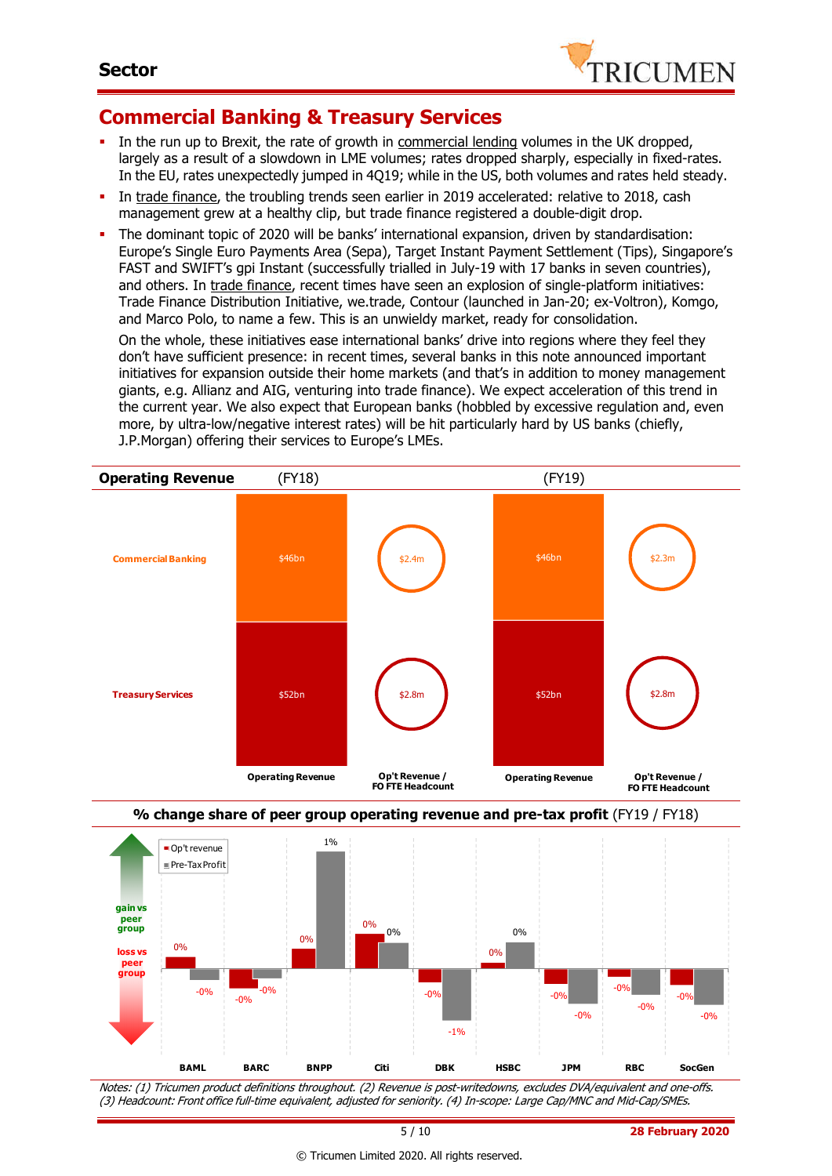

### **Commercial Banking & Treasury Services**

- In the run up to Brexit, the rate of growth in commercial lending volumes in the UK dropped, largely as a result of a slowdown in LME volumes; rates dropped sharply, especially in fixed-rates. In the EU, rates unexpectedly jumped in 4Q19; while in the US, both volumes and rates held steady.
- In trade finance, the troubling trends seen earlier in 2019 accelerated: relative to 2018, cash management grew at a healthy clip, but trade finance registered a double-digit drop.
- The dominant topic of 2020 will be banks' international expansion, driven by standardisation: Europe's Single Euro Payments Area (Sepa), Target Instant Payment Settlement (Tips), Singapore's FAST and SWIFT's gpi Instant (successfully trialled in July-19 with 17 banks in seven countries), and others. In trade finance, recent times have seen an explosion of single-platform initiatives: Trade Finance Distribution Initiative, we.trade, Contour (launched in Jan-20; ex-Voltron), Komgo, and Marco Polo, to name a few. This is an unwieldy market, ready for consolidation.

On the whole, these initiatives ease international banks' drive into regions where they feel they don't have sufficient presence: in recent times, several banks in this note announced important initiatives for expansion outside their home markets (and that's in addition to money management giants, e.g. Allianz and AIG, venturing into trade finance). We expect acceleration of this trend in the current year. We also expect that European banks (hobbled by excessive regulation and, even more, by ultra-low/negative interest rates) will be hit particularly hard by US banks (chiefly, J.P.Morgan) offering their services to Europe's LMEs.





Notes: (1) Tricumen product definitions throughout. (2) Revenue is post-writedowns, excludes DVA/equivalent and one-offs. (3) Headcount: Front office full-time equivalent, adjusted for seniority. (4) In-scope: Large Cap/MNC and Mid-Cap/SMEs.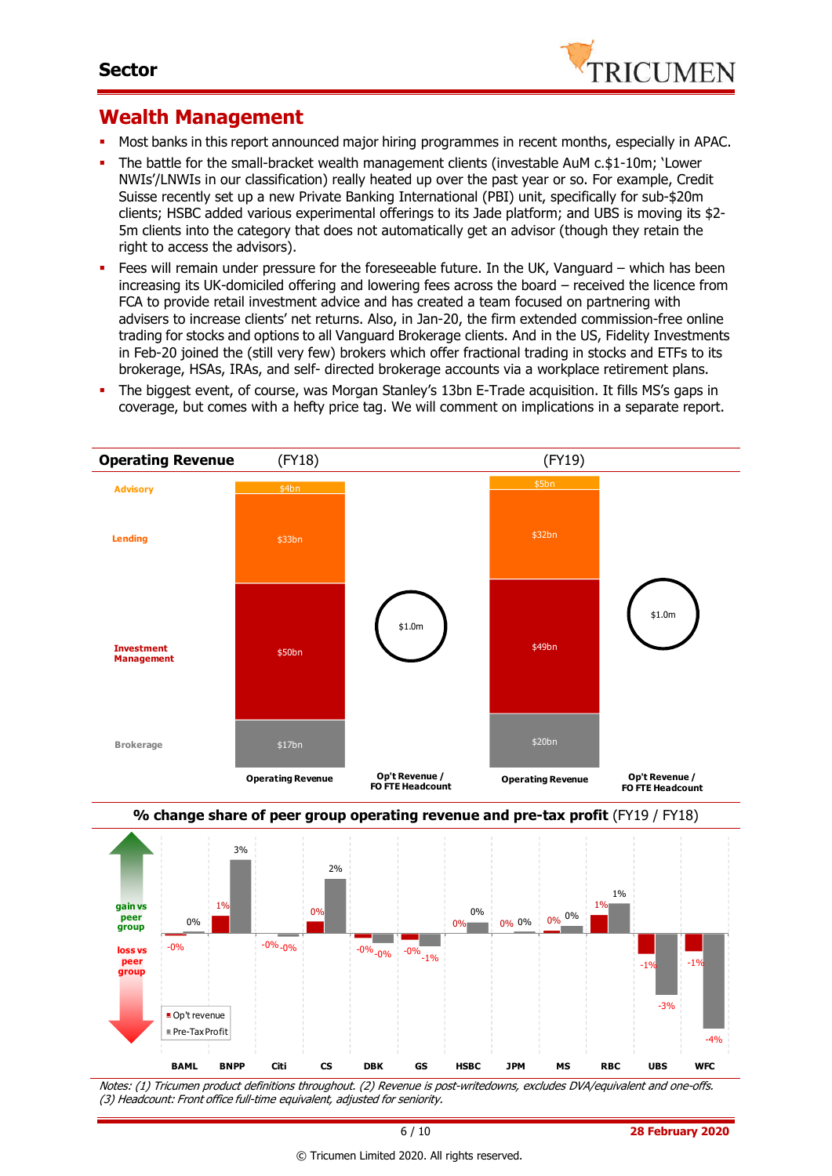

### **Wealth Management**

- Most banks in this report announced major hiring programmes in recent months, especially in APAC.
- The battle for the small-bracket wealth management clients (investable AuM c.\$1-10m; 'Lower NWIs'/LNWIs in our classification) really heated up over the past year or so. For example, Credit Suisse recently set up a new Private Banking International (PBI) unit, specifically for sub-\$20m clients; HSBC added various experimental offerings to its Jade platform; and UBS is moving its \$2- 5m clients into the category that does not automatically get an advisor (though they retain the right to access the advisors).
- Fees will remain under pressure for the foreseeable future. In the UK, Vanguard which has been increasing its UK-domiciled offering and lowering fees across the board – received the licence from FCA to provide retail investment advice and has created a team focused on partnering with advisers to increase clients' net returns. Also, in Jan-20, the firm extended commission-free online trading for stocks and options to all Vanguard Brokerage clients. And in the US, Fidelity Investments in Feb-20 joined the (still very few) brokers which offer fractional trading in stocks and ETFs to its brokerage, HSAs, IRAs, and self- directed brokerage accounts via a workplace retirement plans.
- The biggest event, of course, was Morgan Stanley's 13bn E-Trade acquisition. It fills MS's gaps in coverage, but comes with a hefty price tag. We will comment on implications in a separate report.





Notes: (1) Tricumen product definitions throughout. (2) Revenue is post-writedowns, excludes DVA/equivalent and one-offs. (3) Headcount: Front office full-time equivalent, adjusted for seniority.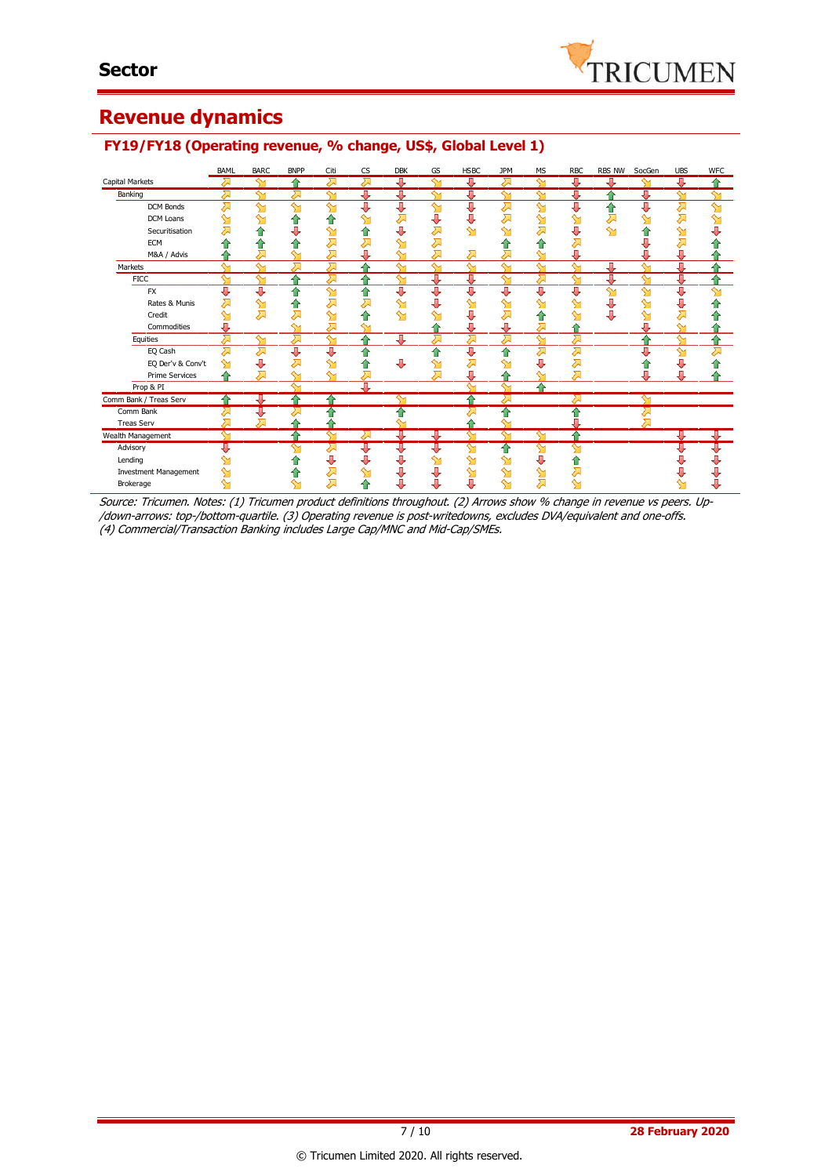# **Revenue dynamics**

#### **FY19/FY18 (Operating revenue, % change, US\$, Global Level 1)**

|                              | <b>BAML</b>     | <b>BARC</b> | <b>BNPP</b> | Citi         | <b>CS</b> | <b>DBK</b>   | GS                      | <b>HSBC</b>             | <b>JPM</b>         | <b>MS</b>    | <b>RBC</b>         | <b>RBS NW</b> | SocGen             | <b>UBS</b> | <b>WFC</b>         |
|------------------------------|-----------------|-------------|-------------|--------------|-----------|--------------|-------------------------|-------------------------|--------------------|--------------|--------------------|---------------|--------------------|------------|--------------------|
| Capital Markets              | $\lambda$       | ∾           | ♦           | ⋝            | ⋝         | 專            | $\overline{\mathsf{M}}$ | ⇩                       | ス                  | ∾            | ⊕                  | ⊕             | ∾                  | IJ         |                    |
| Banking                      | Σ               | ∾           | ∕           | ↬            | Д         | ⊕            | ∾                       | 具                       | ⇘                  | ∾            | J                  | ≏             | J                  | ↬          |                    |
| DCM Bonds                    | ⊼               | ∾           | ∾           | ∾            | J         | J            | ഷ                       | ⇩                       | ⋝                  | $\mathbf{M}$ | J                  | ⇑             | J                  | 对          | $\mathbf{\hat{y}}$ |
| DCM Loans                    |                 | ↬           | ⋒           |              | ↬         | 风            | ⇩                       | ⊕                       | 겨                  | ഷ            | ഷ                  | Σ             | $\mathbf{\hat{y}}$ | ⋝          | $\mathbf{M}$       |
| Securitisation               |                 | 1           |             | ↬            | 1         | U            | ᄌ                       | $\mathbf{\hat{M}}$      | ഷ                  | $\sum$       | U                  | ∾             |                    | ⇘          |                    |
| <b>ECM</b>                   |                 |             |             |              |           | ∾            | Σ                       |                         | ⇑                  | ⇧            |                    |               |                    |            |                    |
| M&A / Advis                  |                 |             |             | ⋝            |           |              | Д                       | ⋝                       | 对                  | $\sim$       | U                  |               |                    | U          |                    |
| Markets                      | $\sim$          | $\sim$      |             | Σ            | ۵         | $\sim$       | ∾                       | $\sim$                  | $\overline{\ }$    | $\sim$       | $\overline{\ }$    | ⇩             | $\sim$             | Д          |                    |
| <b>FICC</b>                  | $\sim$          | ∾           |             | ⋝            | ≏         | $\mathbf{M}$ | Д                       | Д                       | ↬                  | ⋝            | $\mathbf{\hat{M}}$ | J             | $\mathbf{M}$       | J          |                    |
| <b>FX</b>                    | л               | J           | ⇑           | $\mathbf{M}$ | ⇑         | J            | ⇩                       | J                       | ⇩                  | 具            | J                  | $\mathbf{M}$  | $\mathbf{M}$       | ⇩          | $\mathbf{\hat{M}}$ |
| Rates & Munis                |                 | ↬           | ſΓ          | ⊼            |           | ↬            | U                       | ↬                       | $\mathbf{\hat{M}}$ | $\mathbf{M}$ | ഷ                  | ⇩             | ள                  | U          |                    |
| Credit                       | ↬               | ᄌ           | 对           | ∾            | ⋒         | ∾            | ↬                       | J                       | 겨                  | ⇧            | ഷ                  | J             | $\mathbf{M}$       | 对          |                    |
| Commodities                  | J,              |             | ∾           | ⋝            | ∾         |              |                         | д                       | Д                  | ⋝            |                    |               | J                  | ↬          |                    |
| Equities                     | ⋝               | ∾           | 对           | ∾            | ≏         | J.           | ⋝                       | ⋝                       | ⋝                  | $\mathbf{M}$ | ⋝                  |               | ⇑                  | ∾          | €                  |
| EQ Cash                      | Σ               | ᄌ           | ⇩           | Д            | ⇑         |              | ⇑                       | ⇩                       | 合                  | $\sum$       | 겨                  |               | J                  | ഷ          | Σ                  |
| EQ Der'v & Conv't            | ↬               | J           | ⋝           | ∾            |           | ⊕            | ⇘                       | ⋝                       | ↬                  | IJ           | 겨                  |               | T                  | U          |                    |
| <b>Prime Services</b>        |                 | ⊼           | ∾           | ∾            |           |              | Д                       | U                       |                    | $\sim$       | ⋝                  |               | Д                  | Л          |                    |
| Prop & PI                    |                 |             | $\sim$      |              | T         |              |                         | $\sim$                  | $\sim$             | ⇑            |                    |               |                    |            |                    |
| Comm Bank / Treas Serv       |                 | J,          | ♦           | ≏            |           | ∾            |                         | ↷                       | ↗                  |              | ठ्रा               |               | $\mathbf \Omega$   |            |                    |
| Comm Bank                    |                 | J           |             |              |           |              |                         |                         | 合                  |              | ⇑                  |               |                    |            |                    |
| <b>Treas Serv</b>            | ↗               | ⋝           |             |              |           |              |                         |                         | ∾                  |              | U                  |               |                    |            |                    |
| Wealth Management            | $\overline{\ }$ |             |             | ↬            | ራ         | ⊕            | ⊕                       | $\overline{\mathbf{y}}$ | $\mathbf{\hat{M}}$ | ↬            | 合                  |               |                    | J          | ⊕                  |
| Advisory                     | U               |             | ∾           | 对            | ⊕         | ⇩            | ⇩                       | ↬                       | ⇑                  | ↬            | ∾                  |               |                    | J,         | ⇩                  |
| Lending                      |                 |             |             | J            |           |              | ഷ                       | ഷ                       | ഷ                  | ⊕            | ⋒                  |               |                    |            | U                  |
| <b>Investment Management</b> |                 |             |             | ⇗            |           |              | ⇩                       | ஊ                       | ഷ                  | ஊ            | 对                  |               |                    |            |                    |
| Brokerage                    | ഷ               |             |             | 对            | ⋒         | J,           | J                       | ⇩                       | $\mathbf{M}$       | <del>⊼</del> | ↬                  |               |                    |            |                    |

Source: Tricumen. Notes: (1) Tricumen product definitions throughout. (2) Arrows show % change in revenue vs peers. Up- /down-arrows: top-/bottom-quartile. (3) Operating revenue is post-writedowns, excludes DVA/equivalent and one-offs. (4) Commercial/Transaction Banking includes Large Cap/MNC and Mid-Cap/SMEs.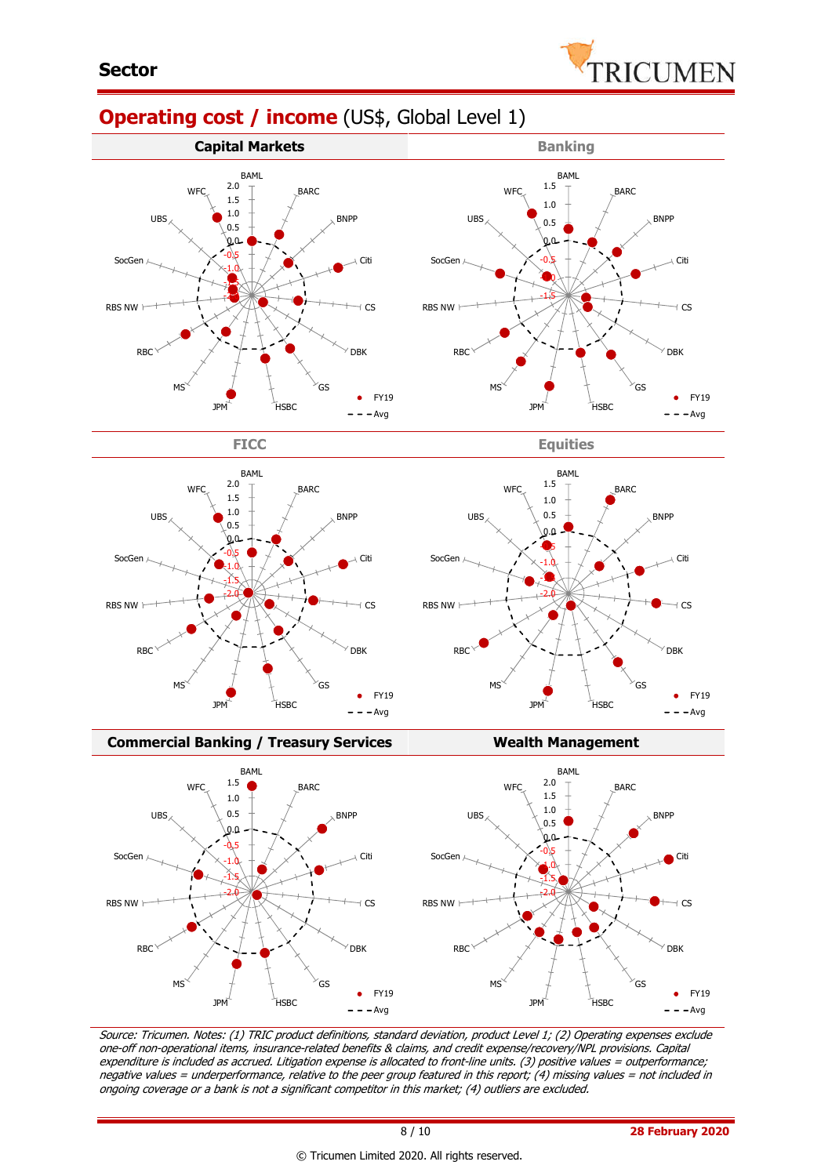

BARC

BNPP

Citi

CS

 $\bullet$  FY19  $- - Avg$ 

 $\sqrt{}$  DBK

 $\epsilon$ 

# **Operating cost / income** (US\$, Global Level 1)









**Commercial Banking / Treasury Services Wealth Management** 



Source: Tricumen. Notes: (1) TRIC product definitions, standard deviation, product Level 1; (2) Operating expenses exclude one-off non-operational items, insurance-related benefits & claims, and credit expense/recovery/NPL provisions. Capital expenditure is included as accrued. Litigation expense is allocated to front-line units. (3) positive values = outperformance; negative values = underperformance, relative to the peer group featured in this report; (4) missing values = not included in ongoing coverage or a bank is not a significant competitor in this market; (4) outliers are excluded.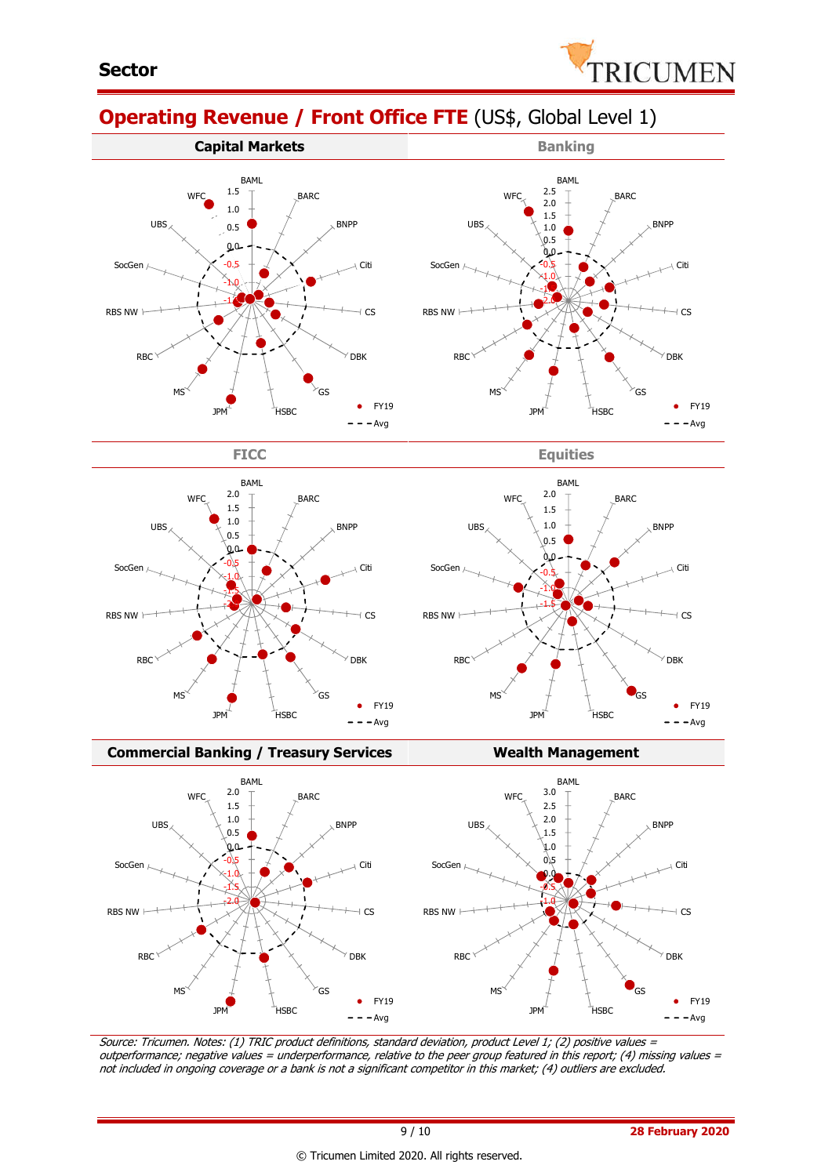

# **Operating Revenue / Front Office FTE** (US\$, Global Level 1)









**FICC Equities**



#### **Commercial Banking / Treasury Services Wealth Management**



Source: Tricumen. Notes: (1) TRIC product definitions, standard deviation, product Level 1; (2) positive values <sup>=</sup> outperformance; negative values = underperformance, relative to the peer group featured in this report; (4) missing values = not included in ongoing coverage or a bank is not a significant competitor in this market; (4) outliers are excluded.